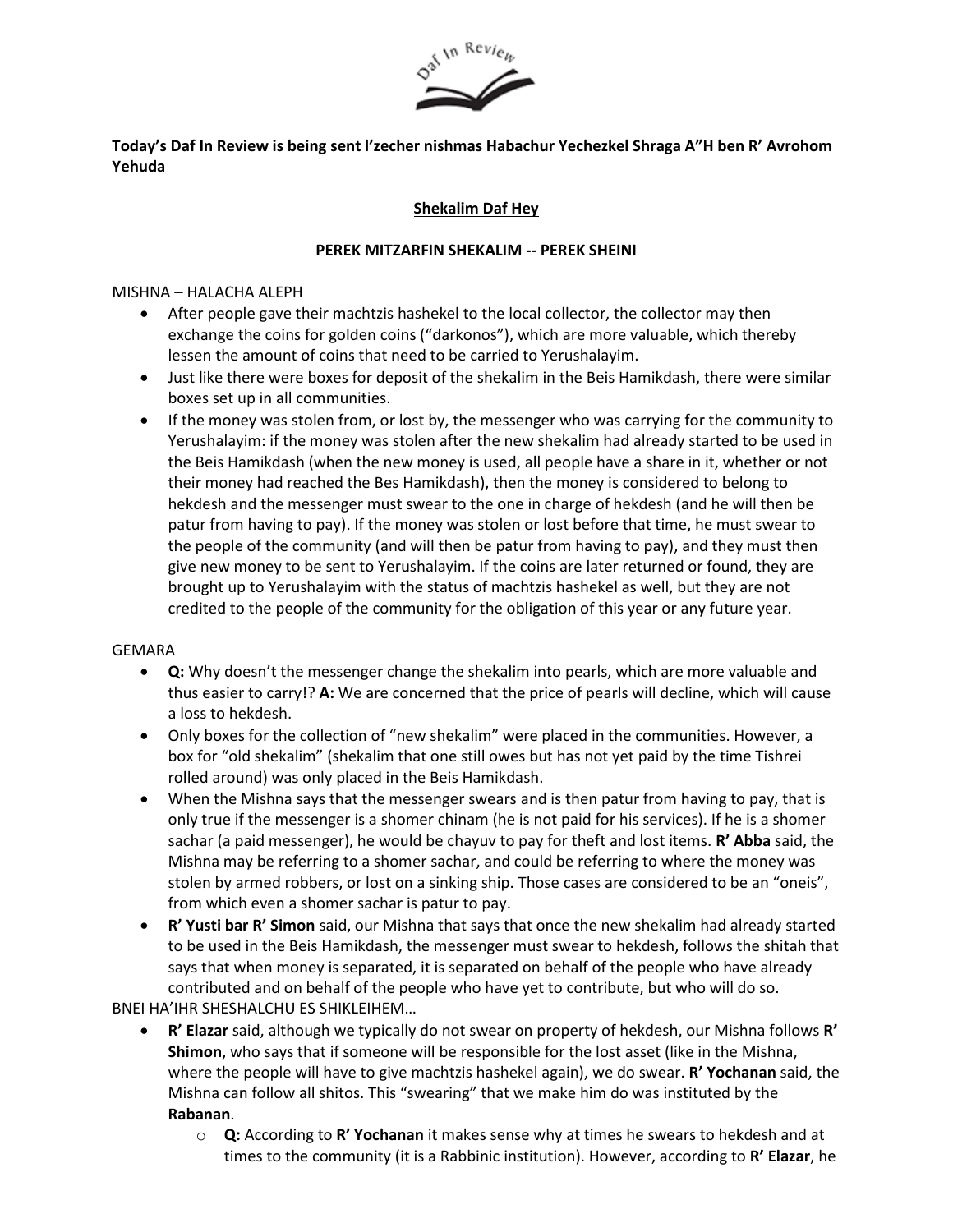

# **Today's Daf In Review is being sent l'zecher nishmas Habachur Yechezkel Shraga A"H ben R' Avrohom Yehuda**

# **Shekalim Daf Hey**

### **PEREK MITZARFIN SHEKALIM -- PEREK SHEINI**

#### MISHNA – HALACHA ALEPH

- After people gave their machtzis hashekel to the local collector, the collector may then exchange the coins for golden coins ("darkonos"), which are more valuable, which thereby lessen the amount of coins that need to be carried to Yerushalayim.
- Just like there were boxes for deposit of the shekalim in the Beis Hamikdash, there were similar boxes set up in all communities.
- If the money was stolen from, or lost by, the messenger who was carrying for the community to Yerushalayim: if the money was stolen after the new shekalim had already started to be used in the Beis Hamikdash (when the new money is used, all people have a share in it, whether or not their money had reached the Bes Hamikdash), then the money is considered to belong to hekdesh and the messenger must swear to the one in charge of hekdesh (and he will then be patur from having to pay). If the money was stolen or lost before that time, he must swear to the people of the community (and will then be patur from having to pay), and they must then give new money to be sent to Yerushalayim. If the coins are later returned or found, they are brought up to Yerushalayim with the status of machtzis hashekel as well, but they are not credited to the people of the community for the obligation of this year or any future year.

#### GEMARA

- **Q:** Why doesn't the messenger change the shekalim into pearls, which are more valuable and thus easier to carry!? **A:** We are concerned that the price of pearls will decline, which will cause a loss to hekdesh.
- Only boxes for the collection of "new shekalim" were placed in the communities. However, a box for "old shekalim" (shekalim that one still owes but has not yet paid by the time Tishrei rolled around) was only placed in the Beis Hamikdash.
- When the Mishna says that the messenger swears and is then patur from having to pay, that is only true if the messenger is a shomer chinam (he is not paid for his services). If he is a shomer sachar (a paid messenger), he would be chayuv to pay for theft and lost items. **R' Abba** said, the Mishna may be referring to a shomer sachar, and could be referring to where the money was stolen by armed robbers, or lost on a sinking ship. Those cases are considered to be an "oneis", from which even a shomer sachar is patur to pay.
- **R' Yusti bar R' Simon** said, our Mishna that says that once the new shekalim had already started to be used in the Beis Hamikdash, the messenger must swear to hekdesh, follows the shitah that says that when money is separated, it is separated on behalf of the people who have already contributed and on behalf of the people who have yet to contribute, but who will do so.

BNEI HA'IHR SHESHALCHU ES SHIKLEIHEM…

- **R' Elazar** said, although we typically do not swear on property of hekdesh, our Mishna follows **R' Shimon**, who says that if someone will be responsible for the lost asset (like in the Mishna, where the people will have to give machtzis hashekel again), we do swear. **R' Yochanan** said, the Mishna can follow all shitos. This "swearing" that we make him do was instituted by the **Rabanan**.
	- o **Q:** According to **R' Yochanan** it makes sense why at times he swears to hekdesh and at times to the community (it is a Rabbinic institution). However, according to **R' Elazar**, he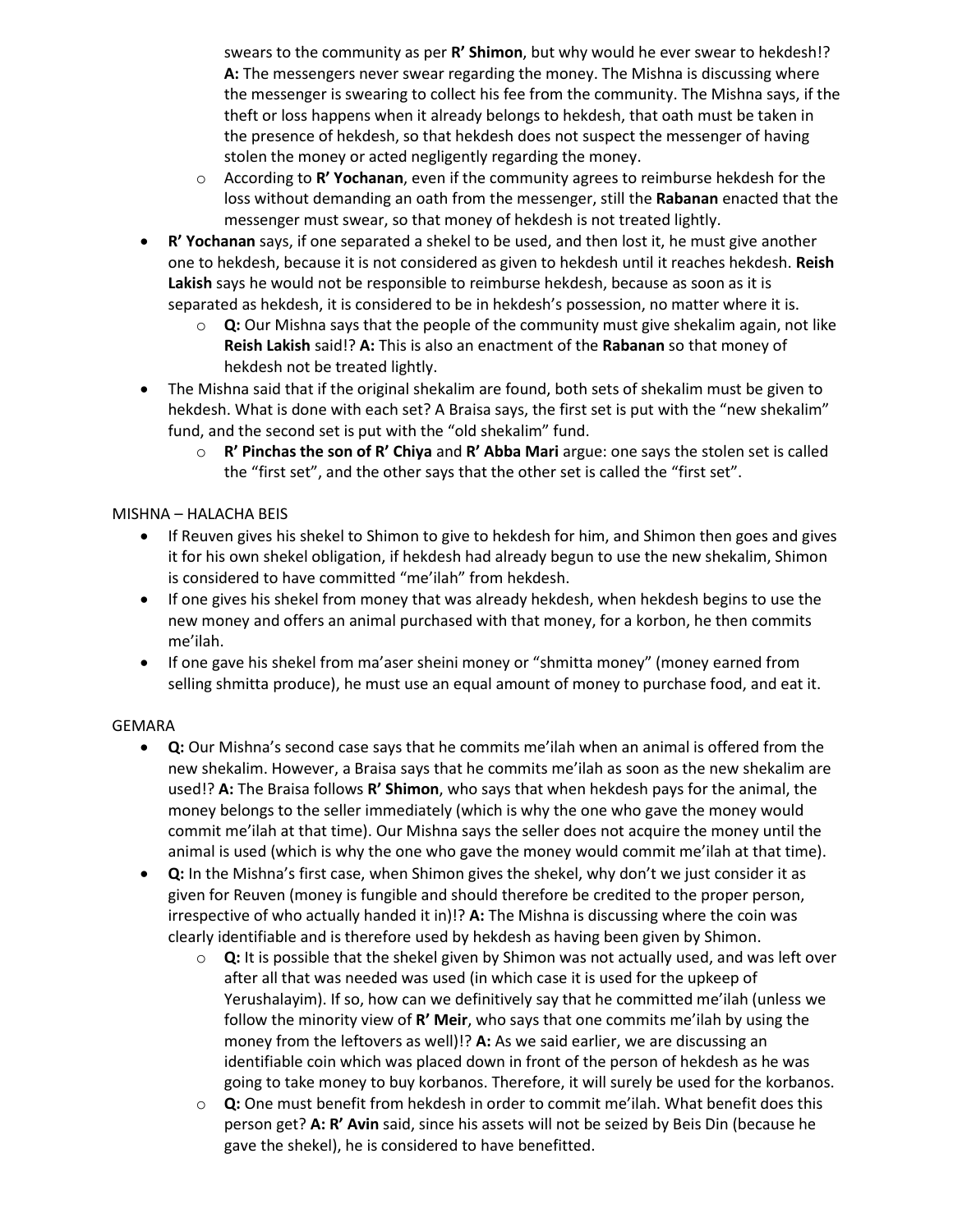swears to the community as per **R' Shimon**, but why would he ever swear to hekdesh!? **A:** The messengers never swear regarding the money. The Mishna is discussing where the messenger is swearing to collect his fee from the community. The Mishna says, if the theft or loss happens when it already belongs to hekdesh, that oath must be taken in the presence of hekdesh, so that hekdesh does not suspect the messenger of having stolen the money or acted negligently regarding the money.

- o According to **R' Yochanan**, even if the community agrees to reimburse hekdesh for the loss without demanding an oath from the messenger, still the **Rabanan** enacted that the messenger must swear, so that money of hekdesh is not treated lightly.
- **R' Yochanan** says, if one separated a shekel to be used, and then lost it, he must give another one to hekdesh, because it is not considered as given to hekdesh until it reaches hekdesh. **Reish Lakish** says he would not be responsible to reimburse hekdesh, because as soon as it is separated as hekdesh, it is considered to be in hekdesh's possession, no matter where it is.
	- o **Q:** Our Mishna says that the people of the community must give shekalim again, not like **Reish Lakish** said!? **A:** This is also an enactment of the **Rabanan** so that money of hekdesh not be treated lightly.
- The Mishna said that if the original shekalim are found, both sets of shekalim must be given to hekdesh. What is done with each set? A Braisa says, the first set is put with the "new shekalim" fund, and the second set is put with the "old shekalim" fund.
	- o **R' Pinchas the son of R' Chiya** and **R' Abba Mari** argue: one says the stolen set is called the "first set", and the other says that the other set is called the "first set".

# MISHNA – HALACHA BEIS

- If Reuven gives his shekel to Shimon to give to hekdesh for him, and Shimon then goes and gives it for his own shekel obligation, if hekdesh had already begun to use the new shekalim, Shimon is considered to have committed "me'ilah" from hekdesh.
- If one gives his shekel from money that was already hekdesh, when hekdesh begins to use the new money and offers an animal purchased with that money, for a korbon, he then commits me'ilah.
- If one gave his shekel from ma'aser sheini money or "shmitta money" (money earned from selling shmitta produce), he must use an equal amount of money to purchase food, and eat it.

# GEMARA

- **Q:** Our Mishna's second case says that he commits me'ilah when an animal is offered from the new shekalim. However, a Braisa says that he commits me'ilah as soon as the new shekalim are used!? **A:** The Braisa follows **R' Shimon**, who says that when hekdesh pays for the animal, the money belongs to the seller immediately (which is why the one who gave the money would commit me'ilah at that time). Our Mishna says the seller does not acquire the money until the animal is used (which is why the one who gave the money would commit me'ilah at that time).
- **Q:** In the Mishna's first case, when Shimon gives the shekel, why don't we just consider it as given for Reuven (money is fungible and should therefore be credited to the proper person, irrespective of who actually handed it in)!? **A:** The Mishna is discussing where the coin was clearly identifiable and is therefore used by hekdesh as having been given by Shimon.
	- o **Q:** It is possible that the shekel given by Shimon was not actually used, and was left over after all that was needed was used (in which case it is used for the upkeep of Yerushalayim). If so, how can we definitively say that he committed me'ilah (unless we follow the minority view of **R' Meir**, who says that one commits me'ilah by using the money from the leftovers as well)!? **A:** As we said earlier, we are discussing an identifiable coin which was placed down in front of the person of hekdesh as he was going to take money to buy korbanos. Therefore, it will surely be used for the korbanos.
	- o **Q:** One must benefit from hekdesh in order to commit me'ilah. What benefit does this person get? **A: R' Avin** said, since his assets will not be seized by Beis Din (because he gave the shekel), he is considered to have benefitted.